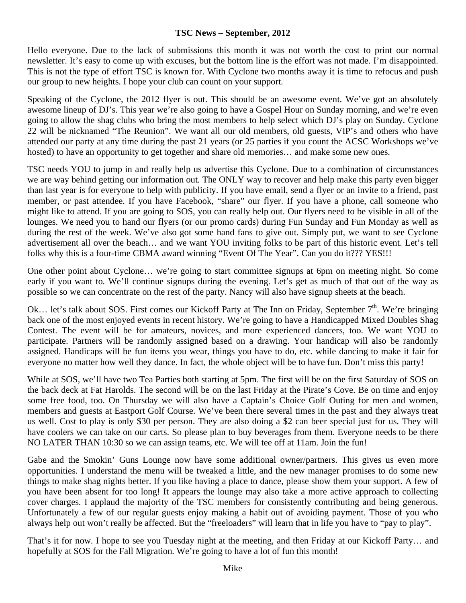#### **TSC News – September, 2012**

Hello everyone. Due to the lack of submissions this month it was not worth the cost to print our normal newsletter. It's easy to come up with excuses, but the bottom line is the effort was not made. I'm disappointed. This is not the type of effort TSC is known for. With Cyclone two months away it is time to refocus and push our group to new heights. I hope your club can count on your support.

Speaking of the Cyclone, the 2012 flyer is out. This should be an awesome event. We've got an absolutely awesome lineup of DJ's. This year we're also going to have a Gospel Hour on Sunday morning, and we're even going to allow the shag clubs who bring the most members to help select which DJ's play on Sunday. Cyclone 22 will be nicknamed "The Reunion". We want all our old members, old guests, VIP's and others who have attended our party at any time during the past 21 years (or 25 parties if you count the ACSC Workshops we've hosted) to have an opportunity to get together and share old memories... and make some new ones.

TSC needs YOU to jump in and really help us advertise this Cyclone. Due to a combination of circumstances we are way behind getting our information out. The ONLY way to recover and help make this party even bigger than last year is for everyone to help with publicity. If you have email, send a flyer or an invite to a friend, past member, or past attendee. If you have Facebook, "share" our flyer. If you have a phone, call someone who might like to attend. If you are going to SOS, you can really help out. Our flyers need to be visible in all of the lounges. We need you to hand our flyers (or our promo cards) during Fun Sunday and Fun Monday as well as during the rest of the week. We've also got some hand fans to give out. Simply put, we want to see Cyclone advertisement all over the beach… and we want YOU inviting folks to be part of this historic event. Let's tell folks why this is a four-time CBMA award winning "Event Of The Year". Can you do it??? YES!!!

One other point about Cyclone… we're going to start committee signups at 6pm on meeting night. So come early if you want to. We'll continue signups during the evening. Let's get as much of that out of the way as possible so we can concentrate on the rest of the party. Nancy will also have signup sheets at the beach.

Ok... let's talk about SOS. First comes our Kickoff Party at The Inn on Friday, September  $7<sup>th</sup>$ . We're bringing back one of the most enjoyed events in recent history. We're going to have a Handicapped Mixed Doubles Shag Contest. The event will be for amateurs, novices, and more experienced dancers, too. We want YOU to participate. Partners will be randomly assigned based on a drawing. Your handicap will also be randomly assigned. Handicaps will be fun items you wear, things you have to do, etc. while dancing to make it fair for everyone no matter how well they dance. In fact, the whole object will be to have fun. Don't miss this party!

While at SOS, we'll have two Tea Parties both starting at 5pm. The first will be on the first Saturday of SOS on the back deck at Fat Harolds. The second will be on the last Friday at the Pirate's Cove. Be on time and enjoy some free food, too. On Thursday we will also have a Captain's Choice Golf Outing for men and women, members and guests at Eastport Golf Course. We've been there several times in the past and they always treat us well. Cost to play is only \$30 per person. They are also doing a \$2 can beer special just for us. They will have coolers we can take on our carts. So please plan to buy beverages from them. Everyone needs to be there NO LATER THAN 10:30 so we can assign teams, etc. We will tee off at 11am. Join the fun!

Gabe and the Smokin' Guns Lounge now have some additional owner/partners. This gives us even more opportunities. I understand the menu will be tweaked a little, and the new manager promises to do some new things to make shag nights better. If you like having a place to dance, please show them your support. A few of you have been absent for too long! It appears the lounge may also take a more active approach to collecting cover charges. I applaud the majority of the TSC members for consistently contributing and being generous. Unfortunately a few of our regular guests enjoy making a habit out of avoiding payment. Those of you who always help out won't really be affected. But the "freeloaders" will learn that in life you have to "pay to play".

That's it for now. I hope to see you Tuesday night at the meeting, and then Friday at our Kickoff Party… and hopefully at SOS for the Fall Migration. We're going to have a lot of fun this month!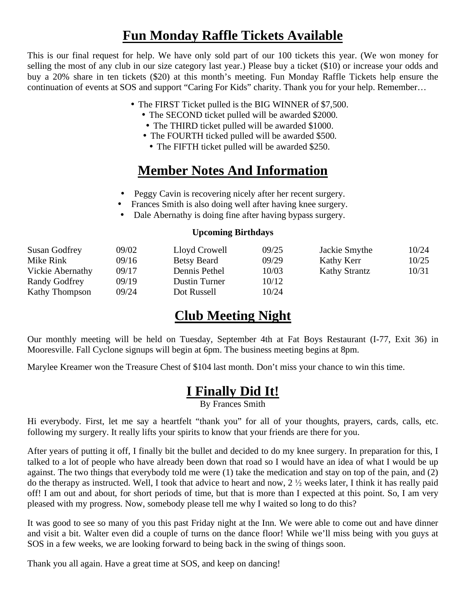# **Fun Monday Raffle Tickets Available**

This is our final request for help. We have only sold part of our 100 tickets this year. (We won money for selling the most of any club in our size category last year.) Please buy a ticket (\$10) or increase your odds and buy a 20% share in ten tickets (\$20) at this month's meeting. Fun Monday Raffle Tickets help ensure the continuation of events at SOS and support "Caring For Kids" charity. Thank you for your help. Remember…

- The FIRST Ticket pulled is the BIG WINNER of \$7,500.
	- The SECOND ticket pulled will be awarded \$2000.
	- The THIRD ticket pulled will be awarded \$1000.
	- The FOURTH ticked pulled will be awarded \$500.
	- The FIFTH ticket pulled will be awarded \$250.

## **Member Notes And Information**

- Peggy Cavin is recovering nicely after her recent surgery.
- Frances Smith is also doing well after having knee surgery.
- Dale Abernathy is doing fine after having bypass surgery.

#### **Upcoming Birthdays**

| <b>Susan Godfrey</b>  | 09/02 | Lloyd Crowell        | 09/25 | Jackie Smythe        | 10/24 |
|-----------------------|-------|----------------------|-------|----------------------|-------|
| Mike Rink             | 09/16 | <b>Betsy Beard</b>   | 09/29 | Kathy Kerr           | 10/25 |
| Vickie Abernathy      | 09/17 | Dennis Pethel        | 10/03 | <b>Kathy Strantz</b> | 10/31 |
| Randy Godfrey         | 09/19 | <b>Dustin Turner</b> | 10/12 |                      |       |
| <b>Kathy Thompson</b> | 09/24 | Dot Russell          | 10/24 |                      |       |

### **Club Meeting Night**

Our monthly meeting will be held on Tuesday, September 4th at Fat Boys Restaurant (I-77, Exit 36) in Mooresville. Fall Cyclone signups will begin at 6pm. The business meeting begins at 8pm.

Marylee Kreamer won the Treasure Chest of \$104 last month. Don't miss your chance to win this time.

## **I Finally Did It!**

By Frances Smith

Hi everybody. First, let me say a heartfelt "thank you" for all of your thoughts, prayers, cards, calls, etc. following my surgery. It really lifts your spirits to know that your friends are there for you.

After years of putting it off, I finally bit the bullet and decided to do my knee surgery. In preparation for this, I talked to a lot of people who have already been down that road so I would have an idea of what I would be up against. The two things that everybody told me were (1) take the medication and stay on top of the pain, and (2) do the therapy as instructed. Well, I took that advice to heart and now,  $2\frac{1}{2}$  weeks later, I think it has really paid off! I am out and about, for short periods of time, but that is more than I expected at this point. So, I am very pleased with my progress. Now, somebody please tell me why I waited so long to do this?

It was good to see so many of you this past Friday night at the Inn. We were able to come out and have dinner and visit a bit. Walter even did a couple of turns on the dance floor! While we'll miss being with you guys at SOS in a few weeks, we are looking forward to being back in the swing of things soon.

Thank you all again. Have a great time at SOS, and keep on dancing!